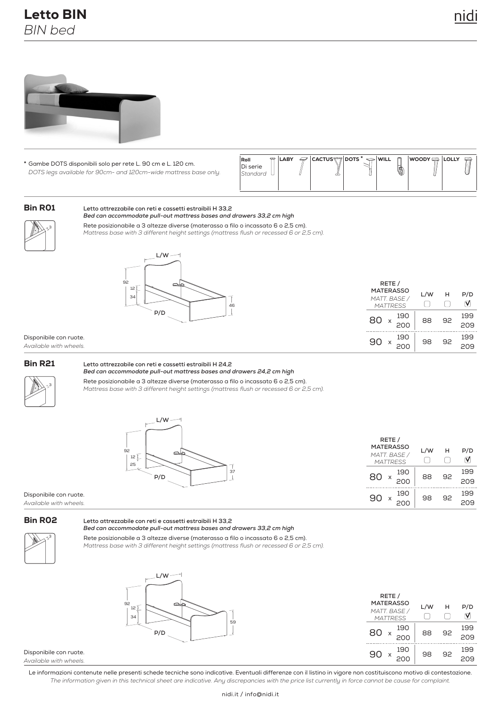# Letto BIN *BIN bed*



**\*** Di serie Gambe DOTS disponibili solo per rete L. 90 cm e L. 120 cm. *DOTS legs available for 90cm- and 120cm-wide mattress base only.* 

| $\bigcap$ LABY<br>Roll<br>Di serie<br>Standard | ᡂ | $\mathcal{P}$ cactus $\bigcirc$ dots $^* \Leftrightarrow$ will | m<br>0 | <b>WOODY DE LOLLY</b> | $\equiv$ |
|------------------------------------------------|---|----------------------------------------------------------------|--------|-----------------------|----------|
|------------------------------------------------|---|----------------------------------------------------------------|--------|-----------------------|----------|

## Bin R01

#### **Letto attrezzabile con reti e cassetti estraibili H 33,2** *Bed can accommodate pull-out mattress bases and drawers 33,2 cm high*

3

Rete posizionabile a 3 altezze diverse (materasso a filo o incassato 6 o 2,5 cm). *Mattress base with 3 different height settings (mattress flush or recessed 6 or 2,5 cm).*



| RETE /<br><b>MATERASSO</b><br>MATT. BASE /<br><b>MATTRESS</b> | L/W | н  | P/D        |
|---------------------------------------------------------------|-----|----|------------|
| 190<br>80<br>200                                              | 88  | 92 | 199<br>209 |
| 190                                                           | 98  | 92 | 199        |

Disponibile con ruote. *Available with wheels.*

#### Bin R21

**Letto attrezzabile con reti e cassetti estraibili H 24,2**



Rete posizionabile a 3 altezze diverse (materasso a filo o incassato 6 o 2,5 cm). *Bed can accommodate pull-out mattress bases and drawers 24,2 cm high Mattress base with 3 different height settings (mattress flush or recessed 6 or 2,5 cm).*



| $\overline{\phantom{0}}$ | RETE /<br><b>MATERASSO</b><br>MATT. BASE /<br><b>MATTRESS</b> |    |    | P/D<br>∇   |
|--------------------------|---------------------------------------------------------------|----|----|------------|
| 37                       | 190<br>80<br>200                                              | 88 | 92 | 199<br>209 |
|                          | 190<br>90<br>200                                              | 98 | 92 | 199<br>509 |

Disponibile con ruote. *Available with wheels.*

### Bin R02

#### **Letto attrezzabile con reti e cassetti estraibili H 33,2** *Bed can accommodate pull-out mattress bases and drawers 33,2 cm high*



Rete posizionabile a 3 altezze diverse (materasso a filo o incassato 6 o 2,5 cm). *Mattress base with 3 different height settings (mattress flush or recessed 6 or 2,5 cm).*



| RETE /<br><b>MATERASSO</b><br>MATT. BASE /<br><b>MATTRESS</b> | L/W | н  | P/D        |
|---------------------------------------------------------------|-----|----|------------|
| 190<br>80<br>X<br>200                                         | 88  | 92 | 199<br>209 |
| 190<br>90<br>X                                                | 98  | 92 | 199        |

Disponibile con ruote. *Available with wheels.*

Le informazioni contenute nelle presenti schede tecniche sono indicative. Eventuali differenze con il listino in vigore non costituiscono motivo di contestazione. *The information given in this technical sheet are indicative. Any discrepancies with the price list currently in force cannot be cause for complaint.*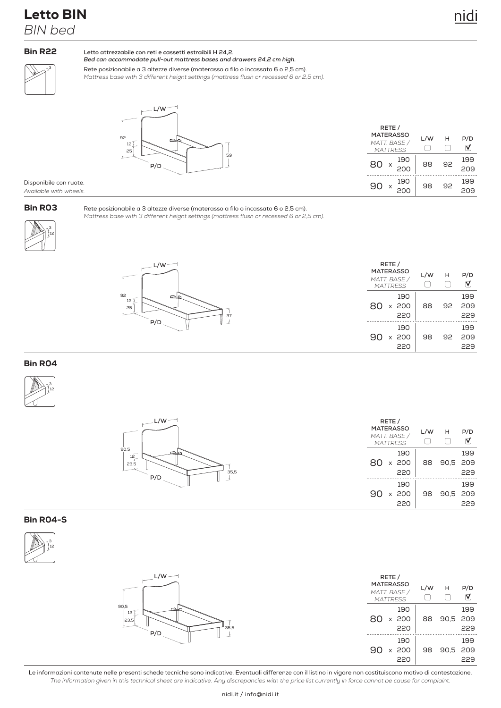229

## Bin R22

**Letto attrezzabile con reti e cassetti estraibili H 24,2.** *Bed can accommodate pull-out mattress bases and drawers 24,2 cm high.*

3

Rete posizionabile a 3 altezze diverse (materasso a filo o incassato 6 o 2,5 cm). *Mattress base with 3 different height settings (mattress flush or recessed 6 or 2,5 cm).*



92

| RETE /<br><b>MATERASSO</b><br>MATT. BASE /<br><b>MATTRESS</b> | L/W | н  | P/D        |
|---------------------------------------------------------------|-----|----|------------|
| 190<br>80<br>200                                              | 88  | 92 | 199<br>209 |
| 190<br>.90<br>X                                               | 98  | 92 | 199        |

220

#### Disponibile con ruote. *Available with wheels.*

## Bin R03

Rete posizionabile a 3 altezze diverse (materasso a filo o incassato 6 o 2,5 cm). *Mattress base with 3 different height settings (mattress flush or recessed 6 or 2,5 cm).*





## Bin R04





## Bin R04-S



| $L/W \rightarrow$                 | RETE /<br><b>MATERASSO</b><br>MATT. BASE /<br><b>MATTRESS</b> | L/W | н           | P/D<br>M   |
|-----------------------------------|---------------------------------------------------------------|-----|-------------|------------|
| 90,5<br>12<br>23,5<br>35,5<br>P/D | 190<br>x 200<br>80.<br>220                                    |     | 88 90,5 209 | 199<br>229 |
|                                   | 190<br>x 200<br>90<br>220                                     | 98  | 90,5 209    | 199<br>229 |

Le informazioni contenute nelle presenti schede tecniche sono indicative. Eventuali differenze con il listino in vigore non costituiscono motivo di contestazione. *The information given in this technical sheet are indicative. Any discrepancies with the price list currently in force cannot be cause for complaint.*